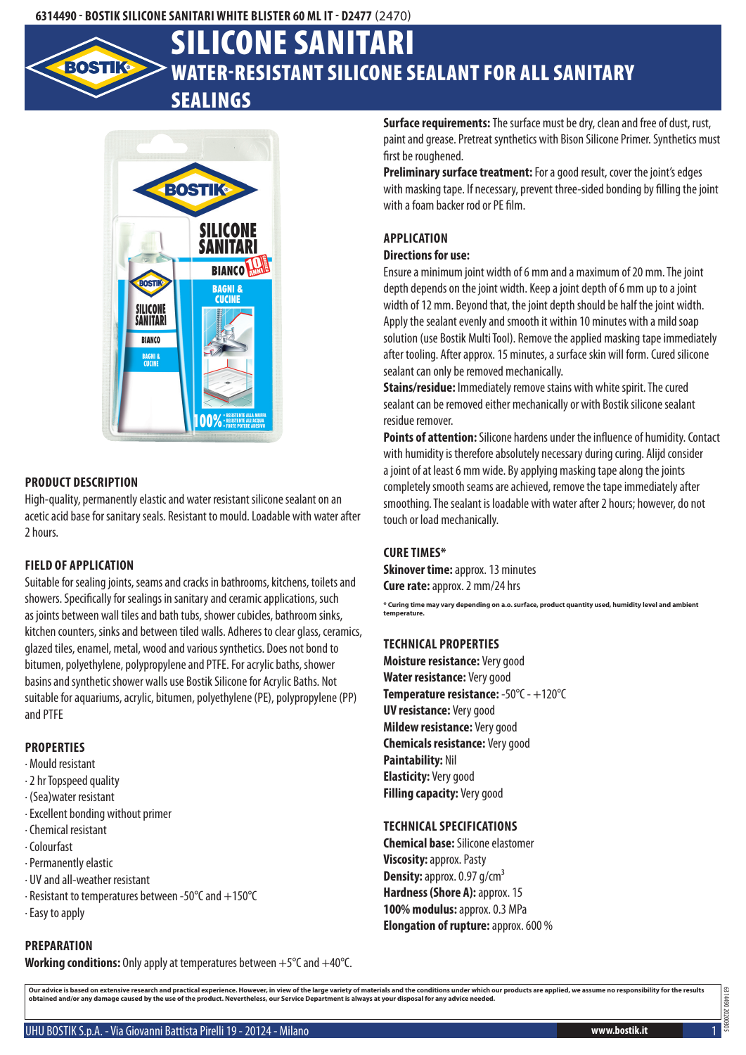

# Water-resistant silicone sealant for all sanitary sealings Silicone Sanitari



#### **Product description**

High-quality, permanently elastic and water resistant silicone sealant on an acetic acid base for sanitary seals. Resistant to mould. Loadable with water after 2 hours.

#### **Field of application**

Suitable for sealing joints, seams and cracks in bathrooms, kitchens, toilets and showers. Specifically for sealings in sanitary and ceramic applications, such as joints between wall tiles and bath tubs, shower cubicles, bathroom sinks, kitchen counters, sinks and between tiled walls. Adheres to clear glass, ceramics, glazed tiles, enamel, metal, wood and various synthetics. Does not bond to bitumen, polyethylene, polypropylene and PTFE. For acrylic baths, shower basins and synthetic shower walls use Bostik Silicone for Acrylic Baths. Not suitable for aquariums, acrylic, bitumen, polyethylene (PE), polypropylene (PP) and PTFE

# **Properties**

- · Mould resistant
- · 2 hr Topspeed quality
- · (Sea)water resistant
- · Excellent bonding without primer
- · Chemical resistant
- · Colourfast
- · Permanently elastic
- · UV and all-weather resistant
- · Resistant to temperatures between -50°C and +150°C
- · Easy to apply

# **Preparation**

**Working conditions:** Only apply at temperatures between +5°C and +40°C.

**Surface requirements:** The surface must be dry, clean and free of dust, rust, paint and grease. Pretreat synthetics with Bison Silicone Primer. Synthetics must first be roughened.

**Preliminary surface treatment:** For a good result, cover the joint's edges with masking tape. If necessary, prevent three-sided bonding by filling the joint with a foam backer rod or PE film.

### **Application**

#### **Directions for use:**

Ensure a minimum joint width of 6 mm and a maximum of 20 mm. The joint depth depends on the joint width. Keep a joint depth of 6 mm up to a joint width of 12 mm. Beyond that, the joint depth should be half the joint width. Apply the sealant evenly and smooth it within 10 minutes with a mild soap solution (use Bostik Multi Tool). Remove the applied masking tape immediately after tooling. After approx. 15 minutes, a surface skin will form. Cured silicone sealant can only be removed mechanically.

**Stains/residue:** Immediately remove stains with white spirit. The cured sealant can be removed either mechanically or with Bostik silicone sealant residue remover.

**Points of attention:** Silicone hardens under the influence of humidity. Contact with humidity is therefore absolutely necessary during curing. Alijd consider a joint of at least 6 mm wide. By applying masking tape along the joints completely smooth seams are achieved, remove the tape immediately after smoothing. The sealant is loadable with water after 2 hours; however, do not touch or load mechanically.

#### **Cure times\***

**Skinover time: approx. 13 minutes Cure rate:** approx. 2 mm/24 hrs

**\* Curing time may vary depending on a.o. surface, product quantity used, humidity level and ambient temperature.**

#### **Technical properties**

**Moisture resistance:** Very good **Water resistance:** Very good **Temperature resistance:** -50°C - +120°C **UV resistance:** Very good **Mildew resistance:** Very good **Chemicals resistance:** Very good **Paintability:** Nil **Elasticity:** Very good **Filling capacity:** Very good

#### **Technical specifications**

**Chemical base:** Silicone elastomer **Viscosity:** approx. Pasty **Density:** approx. 0.97 g/cm<sup>3</sup> **Hardness (Shore A): approx. 15 100% modulus:** approx. 0.3 MPa **Elongation of rupture:** approx. 600 %

Our advice is based on extensive research and practical experience. However, in view of the large variety of materials and the conditions under which our products are applied, we assume no responsibility for the results<br>ob

6314490 20200305

06##139 2020030